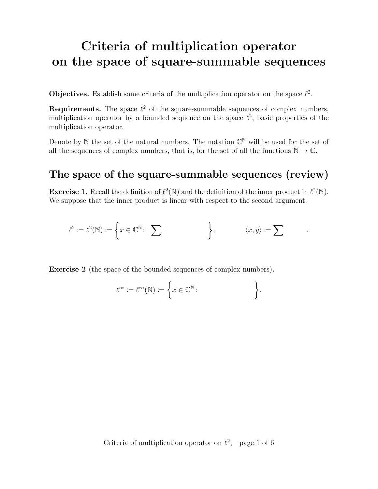# Criteria of multiplication operator on the space of square-summable sequences

**Objectives.** Establish some criteria of the multiplication operator on the space  $\ell^2$ .

**Requirements.** The space  $\ell^2$  of the square-summable sequences of complex numbers, multiplication operator by a bounded sequence on the space  $\ell^2$ , basic properties of the multiplication operator.

Denote by N the set of the natural numbers. The notation  $\mathbb{C}^{\mathbb{N}}$  will be used for the set of all the sequences of complex numbers, that is, for the set of all the functions  $\mathbb{N} \to \mathbb{C}$ .

#### The space of the square-summable sequences (review)

**Exercise 1.** Recall the definition of  $\ell^2(\mathbb{N})$  and the definition of the inner product in  $\ell^2(\mathbb{N})$ . We suppose that the inner product is linear with respect to the second argument.

$$
\ell^2 := \ell^2(\mathbb{N}) := \left\{ x \in \mathbb{C}^{\mathbb{N}} : \sum \qquad \qquad \right\}, \qquad \langle x, y \rangle := \sum \qquad .
$$

Exercise 2 (the space of the bounded sequences of complex numbers).

$$
\ell^{\infty} := \ell^{\infty}(\mathbb{N}) := \left\{ x \in \mathbb{C}^{\mathbb{N}} : \right\}.
$$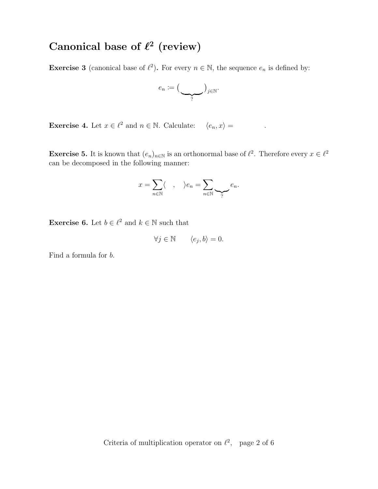### Canonical base of  $\ell^2$  (review)

**Exercise 3** (canonical base of  $\ell^2$ ). For every  $n \in \mathbb{N}$ , the sequence  $e_n$  is defined by:

$$
e_n := \big(\underbrace{\qquad}_{?}\big)_{j \in \mathbb{N}}.
$$

**Exercise 4.** Let  $x \in \ell^2$  and  $n \in \mathbb{N}$ . Calculate:  $\langle e_n, x \rangle =$ .

**Exercise 5.** It is known that  $(e_n)_{n \in \mathbb{N}}$  is an orthonormal base of  $\ell^2$ . Therefore every  $x \in \ell^2$ can be decomposed in the following manner:

$$
x = \sum_{n \in \mathbb{N}} \langle , \quad \rangle e_n = \sum_{n \in \mathbb{N}} \sum_{\gamma} e_n.
$$

**Exercise 6.** Let  $b \in \ell^2$  and  $k \in \mathbb{N}$  such that

$$
\forall j \in \mathbb{N} \qquad \langle e_j, b \rangle = 0.
$$

Find a formula for b.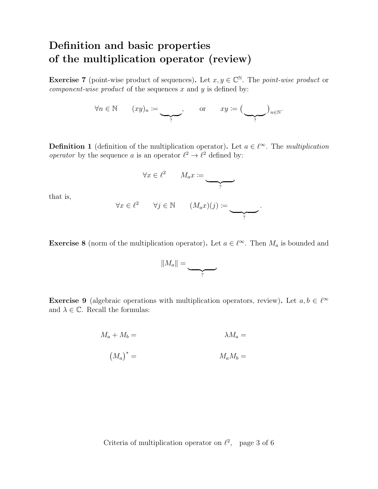### Definition and basic properties of the multiplication operator (review)

**Exercise 7** (point-wise product of sequences). Let  $x, y \in \mathbb{C}^{\mathbb{N}}$ . The *point-wise product* or *component-wise product* of the sequences x and  $y$  is defined by:

$$
\forall n \in \mathbb{N} \qquad (xy)_n \coloneqq \underbrace{\qquad \qquad}_{?}, \qquad \text{or} \qquad xy \coloneqq \bigl(\underbrace{\qquad \qquad}_{?}\bigr)_{n \in \mathbb{N}}.
$$

**Definition 1** (definition of the multiplication operator). Let  $a \in \ell^{\infty}$ . The multiplication operator by the sequence a is an operator  $\ell^2 \to \ell^2$  defined by:

$$
\forall x \in \ell^2 \qquad M_a x := \qquad \qquad \sum_i
$$
  

$$
\forall x \in \ell^2 \qquad \forall j \in \mathbb{N} \qquad (M_a x)(j) := \qquad \qquad \sum_i
$$

that is,

**Exercise 8** (norm of the multiplication operator). Let  $a \in \ell^{\infty}$ . Then  $M_a$  is bounded and



**Exercise 9** (algebraic operations with multiplication operators, review). Let  $a, b \in \ell^{\infty}$ and  $\lambda \in \mathbb{C}$ . Recall the formulas:

$$
M_a + M_b = \lambda M_a =
$$
  

$$
(M_a)^* = \lambda M_a M_b =
$$

Criteria of multiplication operator on  $\ell^2$ , page 3 of 6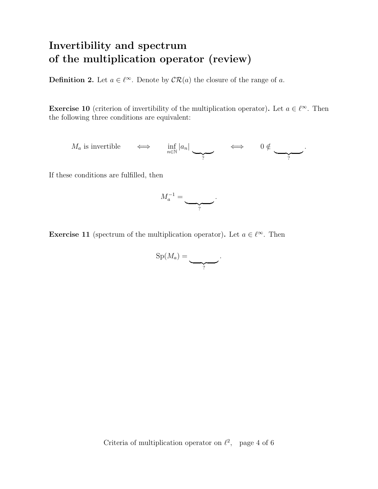## Invertibility and spectrum of the multiplication operator (review)

**Definition 2.** Let  $a \in \ell^{\infty}$ . Denote by  $CR(a)$  the closure of the range of a.

**Exercise 10** (criterion of invertibility of the multiplication operator). Let  $a \in \ell^{\infty}$ . Then the following three conditions are equivalent:

 $M_a$  is invertible  $\iff$   $\inf_{n \in \mathbb{N}} |a_n|$  $\overline{?}$  $\iff$  0  $\notin$  $\overline{?}$ .

If these conditions are fulfilled, then



**Exercise 11** (spectrum of the multiplication operator). Let  $a \in \ell^{\infty}$ . Then

$$
\mathrm{Sp}(M_a)=\underbrace{\qquad \qquad }_{?}.
$$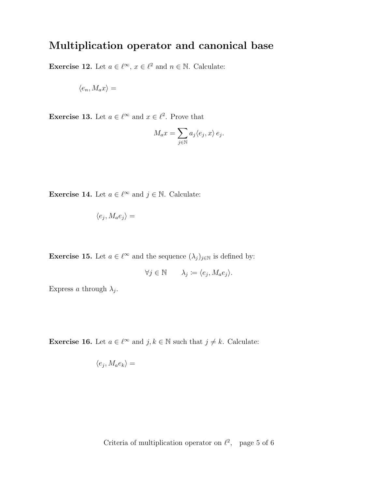#### Multiplication operator and canonical base

**Exercise 12.** Let  $a \in \ell^{\infty}$ ,  $x \in \ell^2$  and  $n \in \mathbb{N}$ . Calculate:

$$
\langle e_n, M_a x \rangle =
$$

**Exercise 13.** Let  $a \in \ell^{\infty}$  and  $x \in \ell^2$ . Prove that

$$
M_a x = \sum_{j \in \mathbb{N}} a_j \langle e_j, x \rangle e_j.
$$

**Exercise 14.** Let  $a \in \ell^{\infty}$  and  $j \in \mathbb{N}$ . Calculate:

$$
\langle e_j, M_a e_j \rangle =
$$

**Exercise 15.** Let  $a \in \ell^{\infty}$  and the sequence  $(\lambda_j)_{j \in \mathbb{N}}$  is defined by:

$$
\forall j \in \mathbb{N} \qquad \lambda_j \coloneqq \langle e_j, M_a e_j \rangle.
$$

Express a through  $\lambda_j$ .

**Exercise 16.** Let  $a \in \ell^{\infty}$  and  $j, k \in \mathbb{N}$  such that  $j \neq k$ . Calculate:

$$
\langle e_j, M_a e_k \rangle =
$$

Criteria of multiplication operator on  $\ell^2$ , page 5 of 6